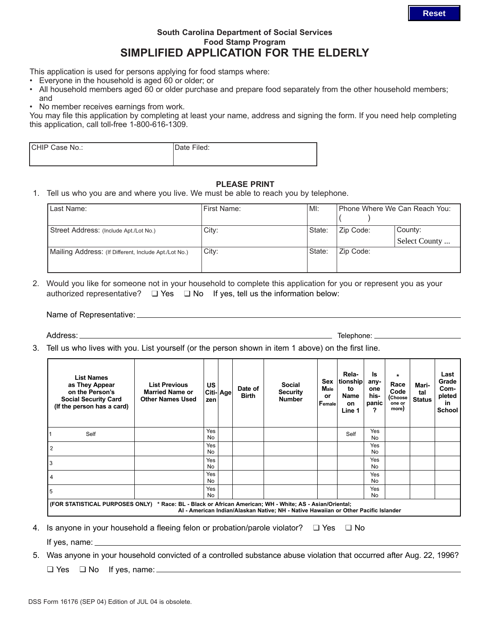## **South Carolina Department of Social Services Food Stamp Program SIMPLIFIED APPLICATION FOR THE ELDERLY**

This application is used for persons applying for food stamps where:

- Everyone in the household is aged 60 or older; or
- All household members aged 60 or older purchase and prepare food separately from the other household members; and
- No member receives earnings from work.

You may file this application by completing at least your name, address and signing the form. If you need help completing this application, call toll-free 1-800-616-1309.

| <b>ICHIP Case No.:</b> | Date Filed: |
|------------------------|-------------|
|                        |             |

## **PLEASE PRINT**

1. Tell us who you are and where you live. We must be able to reach you by telephone.

| Last Name:                                            | First Name: | MI:    | Phone Where We Can Reach You: |                          |  |
|-------------------------------------------------------|-------------|--------|-------------------------------|--------------------------|--|
| Street Address: (Include Apt./Lot No.)                | City:       | State: | Zip Code:                     | County:<br>Select County |  |
| Mailing Address: (If Different, Include Apt./Lot No.) | City:       | State: | Zip Code:                     |                          |  |

2. Would you like for someone not in your household to complete this application for you or represent you as your authorized representative?  $\Box$  Yes  $\Box$  No If yes, tell us the information below:

Name of Representative:

Address:

**Telephone:** 

3. Tell us who lives with you. List yourself (or the person shown in item 1 above) on the first line.

| <b>List Names</b><br>as They Appear<br>on the Person's<br><b>Social Security Card</b><br>(If the person has a card)                                                                             | <b>List Previous</b><br><b>Married Name or</b><br><b>Other Names Used</b> | <b>US</b><br>zen | Citi-Agel | Date of<br><b>Birth</b> | <b>Social</b><br><b>Security</b><br><b>Number</b> | Sex<br>Male<br>or<br>Female | Rela-<br>tionship<br>tο<br>Name<br><b>on</b><br>Line 1 | ls<br>any-<br>one<br>his-<br>panic<br>7 | $\star$<br>Race<br>Code<br>(Choose<br>one or<br>more) | Mari-<br>tal<br><b>Status</b> | Last<br>Grade<br>Com-<br>pleted<br>in<br><b>School</b> |
|-------------------------------------------------------------------------------------------------------------------------------------------------------------------------------------------------|---------------------------------------------------------------------------|------------------|-----------|-------------------------|---------------------------------------------------|-----------------------------|--------------------------------------------------------|-----------------------------------------|-------------------------------------------------------|-------------------------------|--------------------------------------------------------|
| Self                                                                                                                                                                                            |                                                                           | Yes<br>No        |           |                         |                                                   |                             | Self                                                   | Yes<br>No                               |                                                       |                               |                                                        |
| $\overline{c}$                                                                                                                                                                                  |                                                                           | Yes<br><b>No</b> |           |                         |                                                   |                             |                                                        | Yes<br>No                               |                                                       |                               |                                                        |
| 3                                                                                                                                                                                               |                                                                           | Yes<br>No        |           |                         |                                                   |                             |                                                        | Yes<br><b>No</b>                        |                                                       |                               |                                                        |
| 4                                                                                                                                                                                               |                                                                           | Yes<br><b>No</b> |           |                         |                                                   |                             |                                                        | Yes<br><b>No</b>                        |                                                       |                               |                                                        |
| 5                                                                                                                                                                                               |                                                                           | Yes<br>No        |           |                         |                                                   |                             |                                                        | Yes<br><b>No</b>                        |                                                       |                               |                                                        |
| (FOR STATISTICAL PURPOSES ONLY) * Race: BL - Black or African American; WH - White; AS - Asian/Oriental;<br>Al - American Indian/Alaskan Native; NH - Native Hawaiian or Other Pacific Islander |                                                                           |                  |           |                         |                                                   |                             |                                                        |                                         |                                                       |                               |                                                        |

4. Is anyone in your household a fleeing felon or probation/parole violator?  $\Box$  Yes  $\Box$  No

If yes, name:

5. Was anyone in your household convicted of a controlled substance abuse violation that occurred after Aug. 22, 1996?  $\Box$  Yes  $\Box$  No If yes, name: